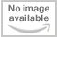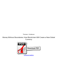*Thomas J. Anderson*

**Money Without Boundaries: How Blockchain Will Create a New Global Currency**

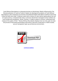Cash Without Boundaries is a theoretical primer on blockchain. Mainly influenced by The Denationalization of Cash by Fredrich Hayek, the ideological foundation of Cash Without Boundaries is also inspired by economists and believed leaders like Milton Friedman and Irving Fisher.full-faith and credit" Anderson starts with a history of cash, before talking about the rise of cryptocurrency. Compared with other currencies, blockchain-managed money markets are more simple and transparent.. Writer Thomas J. It really is easier to monitor, understand and measure the quality of their " Money Without Boundaries displays how not only cash, but also the process of borrowing and lending, will evolve to become conducted in a 100% trusted, secure, transparent, open up architecture environment.



[continue reading](http://bit.ly/2Tge8Fv)